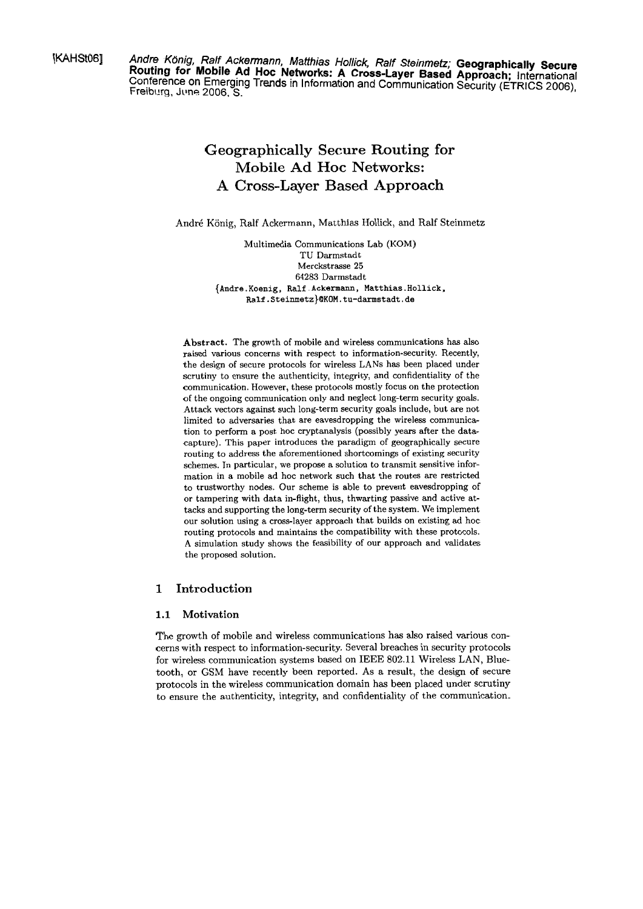**KAHStO6]** Andre König, Ralf Ackermann, Matthias Hollick, Ralf Steinmetz; Geographically Secure Routing for Mobile Ad Hoc Networks: A Cross-Layer Based Approach; International Conference on Emerging Trends in Information and Communication Security (ETRICS 2006). Freibilrg, **Jilns** 2006. **S.** 

# **Geographically Secure Routing for Mobile Ad Hoc Networks: A Cross-Layer Based Approach**

Andre König, Ralf Ackermann, Matthias Hollick, and Ralf Steinmetz

Multimedia Communications Lab (KOM) TU Darmstadt Merckstrasse **25 64283** Darmstadt **{Andre. Koenig. Ralf** . **Ackermann,** Matthias . **Hollick.**  Ralf.Steinmetz}@KOM.tu-darmstadt.de

Abstract. The growth of mobile and wireless communications has also raised various concerns with respect to information-security. Recently, the design of secure protocols for wireless LANs has been placed under scrutiny to ensure the authenticity, integrity, and confidentiality of the communication. However, these protocols mostly focus on the protection of the ongoing communication only and neglect long-term security goals. Attack vectors against such long-term security goals include, but are not limited to adversaries that are eavesdropping the wireless communication to perform a post hoc cryptanalysis (possibly years after the datacapture). This paper introduces the paradigm of geographically secure routing to address the aforementioned shortcomings of existing security schemes. In particular, we propose a solution to transmit sensitive information in a mobile ad hoc network such that the routes are restricted to trustworthy nodes. Our scheme is able to prevent eavesdropping of or tampering with data in-flight, thus, thwarting passive and active attacks and supporting the long-term security of the System. We implement our solution using a cross-layer approach that builds on existing ad hoc routing protocols and maintains the compatibility with these protocols. **A** Simulation study shows the feasibility of our approach and validates the proposed solution.

## **1 Introduction**

#### **1.1 Motivation**

The growth of mobile and wireless communications has also raised various concerns with respect to information-security. Several breaches in security protocols for wireless communication systems based on IEEE 802.11 Wireless LAN, Bluetooth, or GSM have recently been reported. As a result, the design of secure protocols in the wireless communication domain has been placed under scrutiny to ensure the authenticity, integrity, and confidentiality of the communication.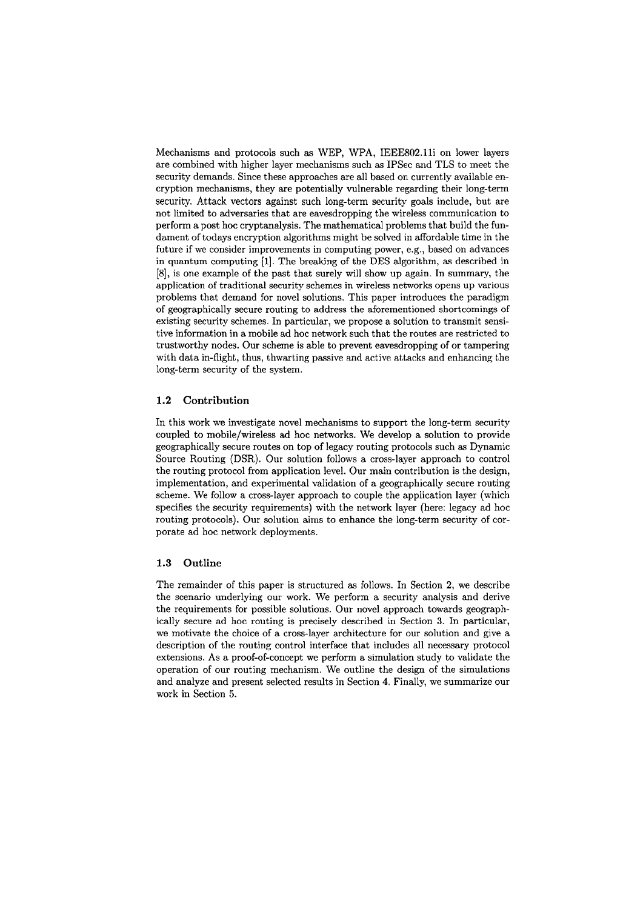Mechanisms and protocols such **as** WEP, WPA, IEEE802.11i on lower layers are combined with higher layer mechanisms such **as** IPSec and TLS to meet the security demands. Since these approaches are all based on currently available encryption mechanisms, they are potentially vulnerable regarding their long-term security. Attack vectors against such long-term security goals include, but are not limited to adversaries that are eavesdropping the wireless communication to perform a post hoc cryptanalysis. The mathematical problems that build the fundament of todays encryption algorithms might be solved in affordable time in the future if we consider improvements in computing power, e.g., based on advances in quantum computing [I]. The breaking of the DES algorithm, **as** described in [8], is one example of the past that surely will show up again. In Summary, the application of traditional security schemes in wireless networks Opens up various problems that demand for novel solutions. This paper introduces the paradigm of geographically secure routing to address the aforementioned shortcomings of existing security schemes. In particular, we propose a solution to transmit sensitive information in a mobile ad hoc network such that the routes are restricted to trustworthy nodes. Our scheme is able to prevent eavesdropping of or tampering with data in-flight, thus, thwarting passive and active attacks and enhancing the long-term security of the system.

#### 1.2 Contribution

In this work we investigate novel mechanisms to support the long-term security coupled to mobile/wireless ad hoc networks. We develop a solution to provide geographically secure routes on top of legacy routing protocols such **as** Dynamic Source Routing (DSR). Our solution follows a cross-layer approach to control the routing protocol from application level. Our main contribution is the design, implementation, and experimental validation of a geographically secure routing scheme. We follow a cross-layer approach to couple the application layer (which specifies the security requirements) with the network layer (here: legacy ad hoc routing protocols). Our solution aims to enhance the long-term security of corporate ad hoc network deployments.

### 1.3 Outline

The remainder of this paper is structured **as** follows. In Section **2,** we describe the scenario underlying our work. We perform a security analysis and derive the requirements for possible solutions. Our novel approach towards geographically secure ad hoc routing is precisely described in Section **3.** In particular, we motivate the choice of a cross-layer architecture for our solution and give a description of the routing control interface that includes all necessary protocol extensions. As a proof-of-concept we perform a simulation study to validate the operation of our routing mechanism. We outline the design of the simulations and analyze and present selected results in Section 4. Finally, we summarize our work in Section 5.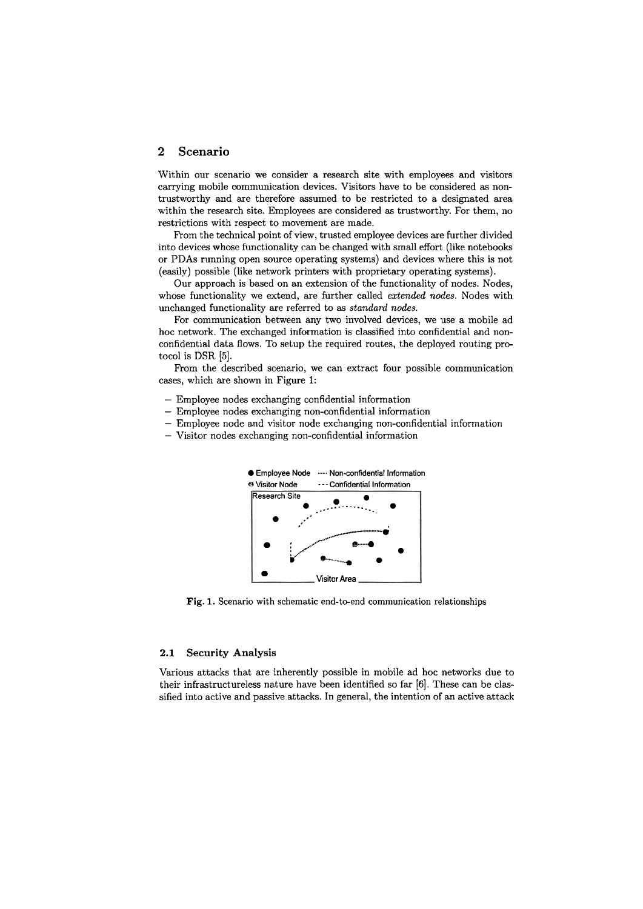### **2 Scenario**

Within our scenario we consider a research site with employees and visitors carrying mobile communication devices. Visitors have to be considered as nontrustworthy and are therefore assumed to be restricted to a designated area within the research site. Employees are considered as trustworthy. For them, no restrictions with respect to movement are made.

From the technical point of view, trusted employee devices are further divided into devices whose functionality can be changed with small effort (like notebooks or PDAs running Open source operating systems) and devices where this is not (easily) possible (like network printers with proprietary operating systems).

Our approach is based on an extension of the functionality of nodes. Nodes, whose functionality we extend, are further called *extended nodes.* Nodes with unchanged functionality are referred to as *standard nodes.* 

For communication between any two involved devices, we use a mobile ad hoc network. The exchanged information is classified into confidential and nonconfidential data fiows. To setup the required routes, the deployed routing protocol is DSR **[5].** 

From the described scenario, we can extract four possible communication cases, which are shown in Figure 1:

- Employee nodes exchanging confidential information
- Employee nodes exchanging non-confidential information
- Employee node and visitor node exchanging non-confidential information
- Visitor nodes exchanging non-confidential information



**Fig.** 1. Scenario with schematic end-to-end communication relationships

#### **2.1 Security Analysis**

Various attacks that are inherently possible in mobile ad hoc networks due to their infrastructureless nature have been identified so **far** [6]. These can be classified into active and passive attacks. In general, the intention of an active attack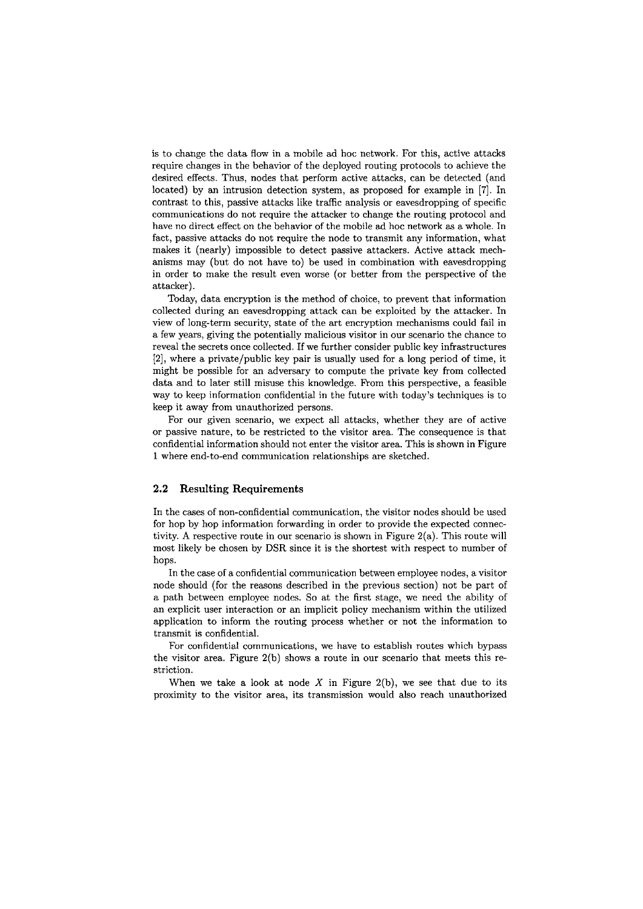is to change the data flow in a mobile ad hoc network. For this, active attacks require changes in the behavior of the deployed routing protocols to achieve the desired effects. Thus, nodes that perform active attacks, can be detected (and located) by an intrusion detection system, as proposed for example in [7]. In contrast to this, passive attacks like traffic analysis or eavesdropping of specific communications do not require the attacker to change the routing protocol and have no direct effect on the behavior of the mobile **ad** hoc network as a whole. In fact, passive attacks do not require the node to transmit any information, what makes it (nearly) impossible to detect passive attackers. Active attack mechanisms may (but do not have to) be used in combination with eavesdropping in order to make the result even worse (or better from the perspective of the attacker).

Today, data encryption is the method of choice, to prevent that information collected during an eavesdropping attack can be exploited by the attacker. In view of long-term security, state of the art encryption mechanisms could fail in a few years, giving the potentially malicious visitor in our scenario the chance to reveal the secrets once collected. If we further consider public key infrastructures [2], where a private/public key pair is usually used for a long period of time, it might be possible for an adversary to compute the private key from collected data and to later still misuse this knowledge. From this perspective, a feasible way to keep information confidential in the future with today's techniques is to keep it away from unauthorized persons.

For our given scenario, we expect all attacks, whether they are of active or passive nature, to be restricted to the visitor area. The consequence is that confidential information should not enter the visitor area. This is shown in Figure 1 where end-to-end communication relationships are sketched.

### **2.2 Resulting Requirements**

In the cases of non-confidential communication, the visitor nodes should be used for hop by hop information fonvarding in order to provide the expected connectivity. **A** respective route in our scenario is shown in Figure 2(a). This route will most likely be chosen by DSR since it is the shortest with respect to number of hops.

In the case of a confidential communication between employee nodes, a visitor node should (for the reasons described in the previous section) not be part of a path between employee nodes. So at the first Stage, we need the ability of an explicit user interaction or an irnplicit policy mechanism within the utilized application to inform the routing process whether or not the information to transmit is confidential.

Fot- confidential communications, we have to establish routes which bypass the visitor area. Figure 2(b) shows a route in our scenario that meets this restriction.

When we take a look at node  $X$  in Figure 2(b), we see that due to its proximity to the visitor area, its transmission would also reach unauthorized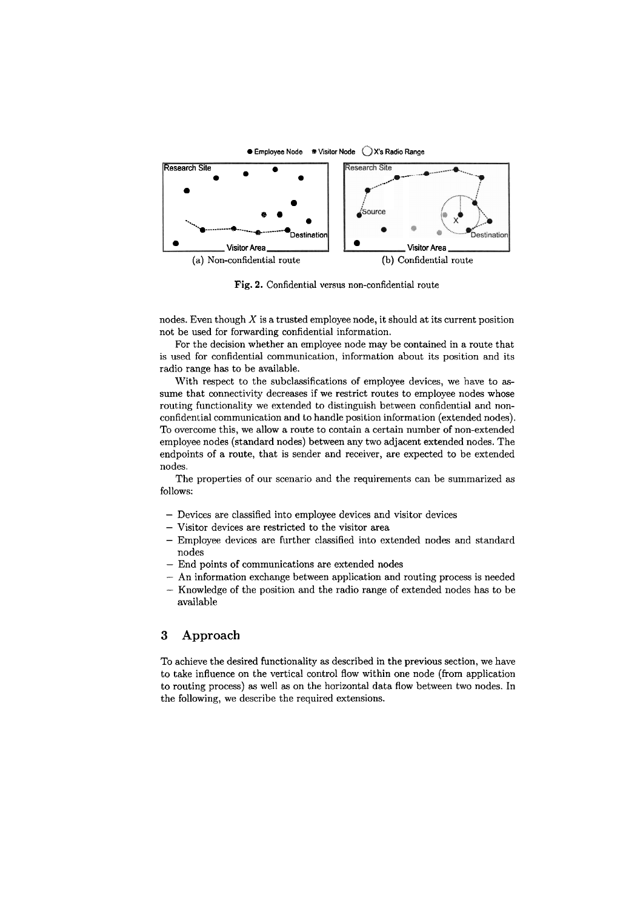

**Fig.** 2. Confidential versus non-confidential route

nodes. Even though  $X$  is a trusted employee node, it should at its current position not be used for forwarding confidential information.

For the decision whether an employee node may be contained in a route that is used for confidential communication, information about its position and its radio range has to be available.

With respect to the subclassifications of employee devices, we have to assume that connectivity decreases if we restrict routes to employee nodes whose routing functionality we extended to distinguish between confidential and nonconfidential communication and to handle position information (extended nodes). To overcome this, we allow a route to contain a certain number of non-extended employee nodes (standard nodes) between any two adjacent extended nodes. The endpoints of a route, that is sender and receiver, are expected to be extended nodes.

The properties of our scenario and the requirements can be summarized as follows:

- Devices are classified into employee devices and visitor devices
- Visitor devices are restricted to the visitor area
- Employee devices are further classified into extended nodes and standard nodes
- End points of communications are extended nodes
- An information exchange between application and routing process is needed
- Knowledge of the position and the radio range of extended nodes has to be available

## **3 Approach**

To achieve the desired functionality as described in the previous section, we have to take influence on the vertical control flow within one node (from application to routing process) **as** well as on the horizontal data flow between two nodes. In the following, we describe the required extensions.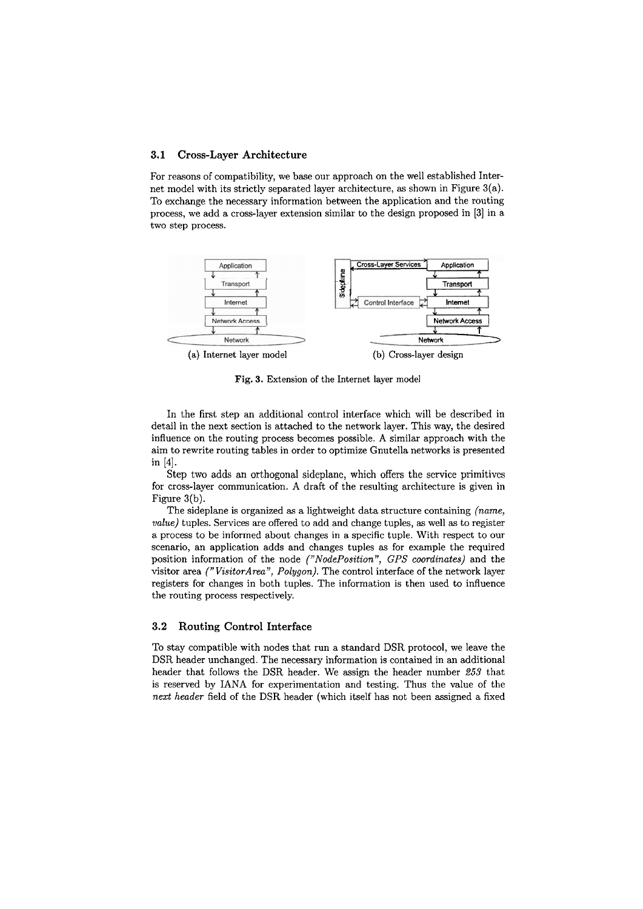### **3.1 Cross-Layer Architecture**

For reasons of compatibility, we base our approach on the well established Internet model with its strictly separated layer architecture, as shown in Figure 3(a). To exchange the necessary information between the application and the routing process, we add a cross-layer extension similar to the design proposed in **[3]** in a two step process.



**Fig.** 3. Extension of the Internet layer model

In the first step an additional control interface which will be described in detail in the next section is attached to the network layer. This way, the desired influence on the routing process becomes possible. A similar approach with the aim to rewrite routing tables in order to optimize Gnutella networks is presented in **[4].** 

Step two adds an orthogonal sideplane, which offers the service primitives for cross-layer communication. A draft of the resulting architecture is given in Figure 3(b).

The sideplane is organized as a lightweight data structure containing (name, value) tuples. Services are offered to add and change tuples, as well as to register a process to be informed about changes in a specific tuple. With respect to our scenario, an application adds and changes tuples as for example the required position information of the node ("NodePosition", GPS coordinates) and the visitor area ("VisitorArea", Polygon). The control interface of the network layer registers for changes in both tuples. The information is then used to influence the routing process respectively.

#### **3.2 Routing Control Interface**

To stay compatible with nodes that run a standard DSR protocol, we leave the DSR header unchanged. The necessary information is contained in an additional header that follows the DSR header. We assign the header number 253 that is reserved by IANA for experimentation and testing. Thus the value of the next header field of the DSR header (which itself has not been assigned a fixed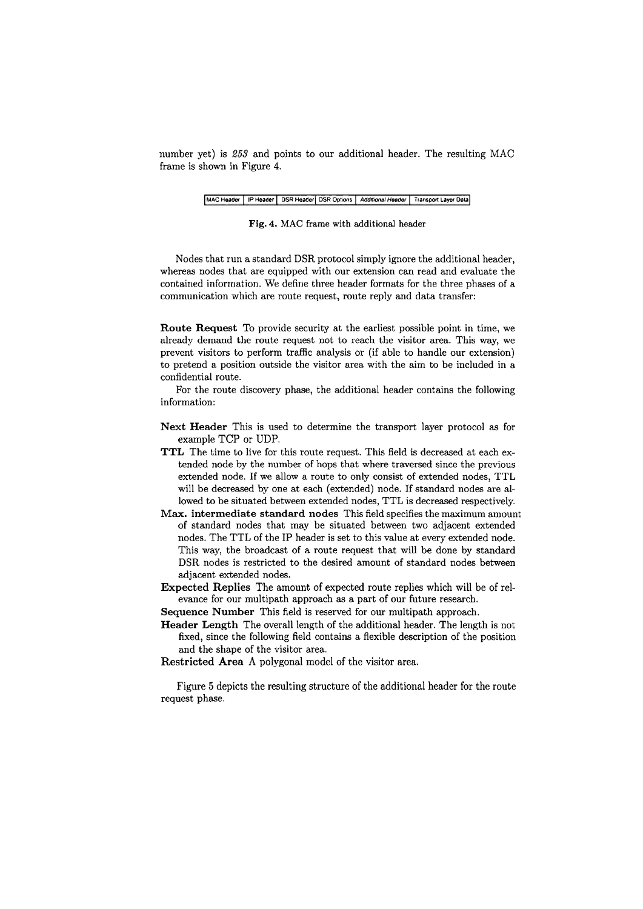number yet) is *253* and points to our additional header. The resulting MAC frame is shown in Figure 4.

#### $\sqrt{\text{MAC} + \text{H}}$  **IP Header**  $\sqrt{\text{DSR} + \text{H}}$  **DSR Options**  $\sqrt{\text{A}}$  *Additional Header*  $\sqrt{\text{T}}$  Transport Layer Data

#### **Fig. 4. MAC frame with additional header**

Nodes that run a standard DSR protocol simply ignore the additional header, whereas nodes that are equipped with our extension can read and evaluate the contained information. We define three header formats for the three phases of a communication which are route request, route reply and data transfer:

**Route Request** To provide security at the earliest possible point in time, we already demand the route request not to reach the visitor area. This way, we prevent visitors to perform traffic analysis or (if able to handle our extension) to pretend a position outside the visitor area with the aim to be included in a confidential route.

For the route discovery phase, the additional header contains the following information:

**Next Header** This is used to determine the transport layer protocol **as** for example TCP or UDP.

- TTL The time to live for this route request. This field is decreased at each extended node by the number of hops that where traversed since the previous extended node. If we allow a route to only consist of extended nodes, TTL will be decreased by one at each (extended) node. If standard nodes are allowed to be situated between extended nodes, TTL is decreased respectively.
- **Max. intermediate standard nodes** This field specifies the maximum amount of standard nodes that may be situated between two adjacent extended nodes. The TTL of the IP header is set to this value at every extended node. This way, the broadcast of a route request that will be done by standard DSR nodes is restricted to the desired amount of standard nodes between adjacent extended nodes.
- **Expected Replies** The amount of expected route replies which will be of relevance for our multipath approach as a part of our future research.

**Sequence Number** This field is reserved for our multipath approach.

- **Header Length** The overall length of the additional header. The length is not fixed, since the following field contains a flexible description of the position and the shape of the visitor area.
- **Restricted Area A** polygonal model of the visitor area.

Figure **5** depicts the resulting structure of the additional header for the route request phase.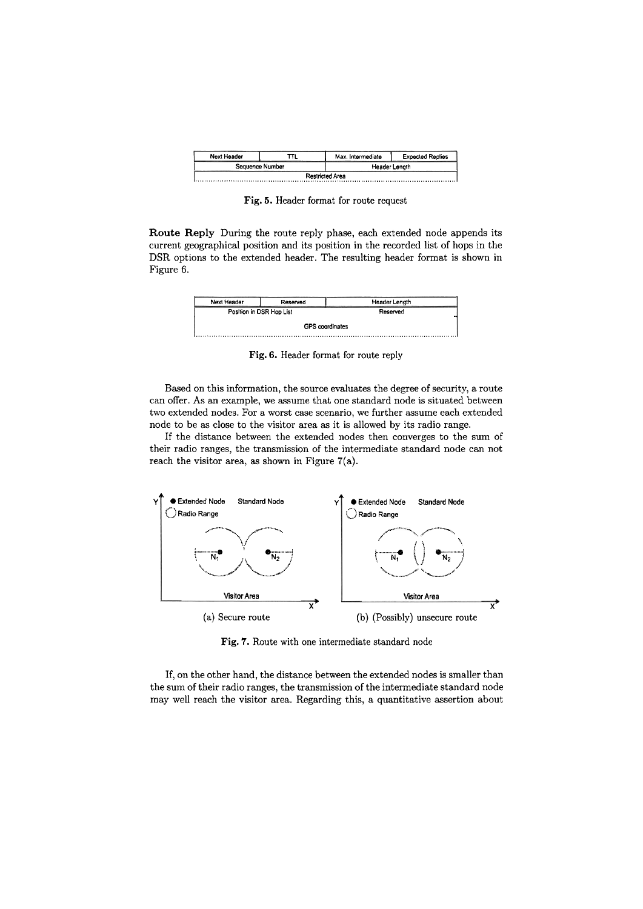| Next Header |                 | Max. Intermediate      | <b>Expected Replies</b> |
|-------------|-----------------|------------------------|-------------------------|
|             | Sequence Number | Header Length          |                         |
|             |                 | <b>Restricted Area</b> |                         |

**Fig. 5.** Header format for route request

**Route Reply** During the route reply phase, each extended node appends its current geographical position and its position in the recorded list of hops in the DSR options to the extended header. The resulting header format is shown in Figure 6.

| Next Header              | Reserved | Header Length          |
|--------------------------|----------|------------------------|
| Position in DSR Hop List |          | Reserved               |
|                          |          | <b>GPS</b> coordinates |
|                          |          |                        |

**Fig. 6.** Header format for route reply

Based on this information, the source evaluates the degree of security, a route can offer. As an example, we assume that one standard node is situated between two extended nodes. For a worst case scenario, we further assume each extended node to be as close to the visitor area as it is allowed by its radio range.

If the distance between the extended nodes then converges to the sum of their radio ranges, the transmission of the intermediate standard node can not reach the visitor area, as shown in Figure 7(a).



**Fig. 7.** Route with one intermediate standard node

If, on the other hand, the distance between the extended nodes is smaller than the sum of their radio ranges, the transmission of the intermediate standard node may well reach the visitor area. Regarding this, a quantitative assertion about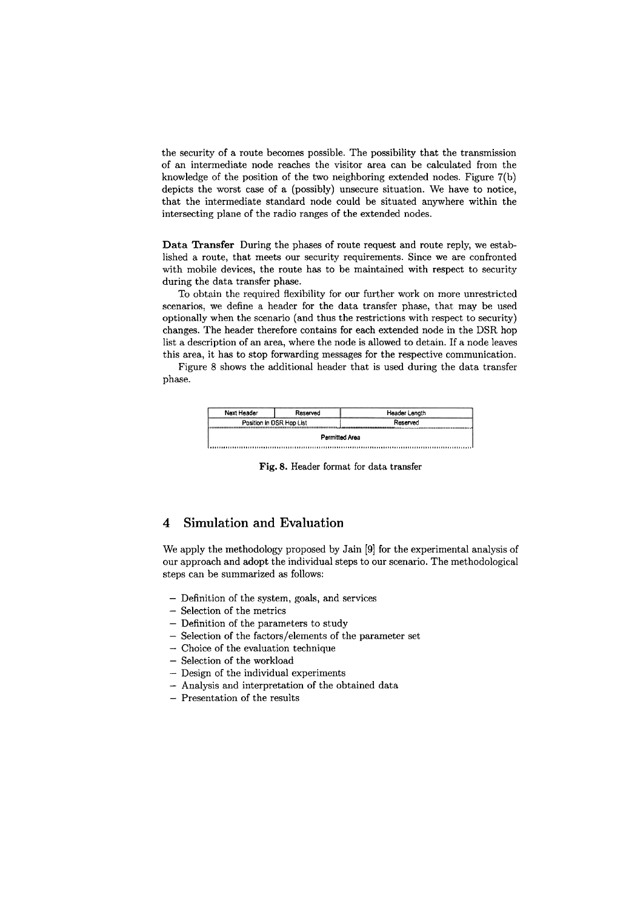the security of a route becomes possible. The possibility that the transmission of an intermediate node reaches the visitor area can be calculated from the knowledge of the position of the two neighboring extended nodes. Figure 7(b) depicts the worst case of a (possibly) unsecure situation. We have to notice, that the intermediate standard node could be situated anywhere within the intersecting plane of the radio ranges of the extended nodes.

**Data Transfer** During the phases of route request and route reply, we established a route, that meets our security requirements. Since we are confronted with mobile devices, the route has to be maintained with respect to security during the data transfer phase.

To obtain the required flexibility for our further work on more unrestricted scenarios, we define a header for the data transfer phase, that may be used optionally when the scenario (and thus the restrictions with respect to security) changes. The header therefore contains for each extended node in the DSR hop list a description of an area, where the node is allowed to detain. If a node leaves this area, it has to stop forwarding messages for the respective communication.

Figure 8 shows the additional header that is used during the data transfer phase.

| Next Header              | Reserved | Header Length  |  |
|--------------------------|----------|----------------|--|
| Position in DSR Hop List |          | Reserved       |  |
|                          |          | Permitted Area |  |
|                          |          |                |  |

**Fig.** 8. Header format for data transfer

## 4 Simulation and Evaluation

We apply the methodology proposed by Jain [9] for the experimental analysis of our approach and adopt the individual steps to our scenario. The methodological steps can be summarized as follows:

- $-$  Definition of the system, goals, and services
- Selection of the metrics
- Definition of the parameters to study
- Selection of the factors/elements of the parameter set
- Choice of the evaluation technique
- Selection of the workload
- Design of the individual experiments
- Analysis and interpretation of the obtained data
- Presentation of the results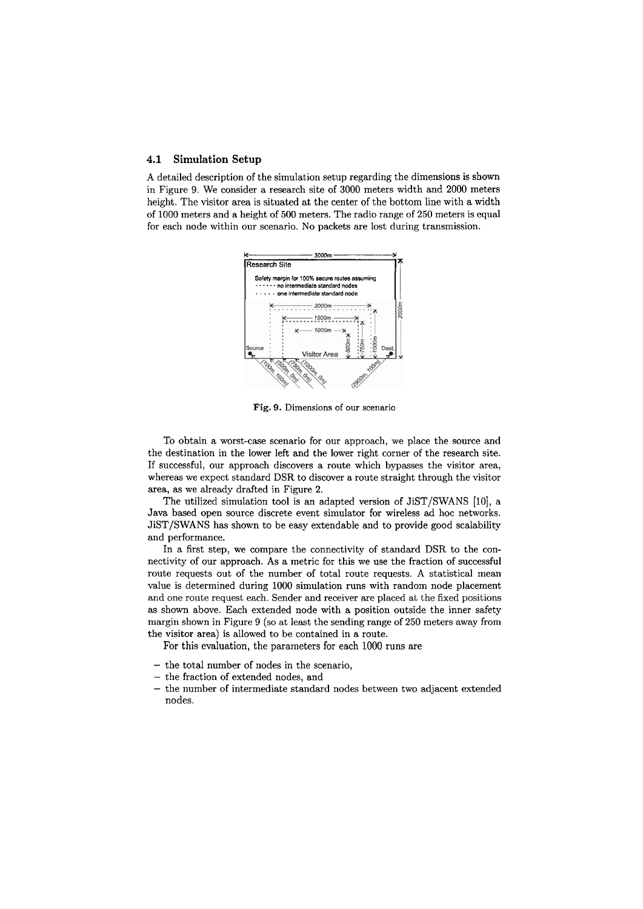#### **4.1 Simulation Setup**

A detailed description of the simulation setup regarding the dimensions is shown in Figure 9. We consider a research site of 3000 meters width and 2000 meters height. The visitor area is situated at the Center of the bottom line with a width of 1000 meters and a height of 500 meters. The radio range of 250 meters is equal for each node within our scenario. No packets are lost during transmission.



**Fig.** 9. Dimensions of our scenario

To obtain a worst-case scenario for our approach, we place the source and the destination in the lower left and the lower right Corner of the research site. If successful, our approach discovers a route which bypasses the visitor area, whereas we expect standard DSR to discover a route straight through the visitor area, as we already drafted in Figure **2.** 

The utilized simulation tool is an adapted version of JiST/SWANS [10], a Java based Open source discrete event simulator for wireless ad hoc networks. JiST/SWANS has shown to be easy extendable and to provide good scalability and performance.

In a first step, we compare the connectivity of standard DSR to the connectivity of our approach. As a metric for this we use the fraction of successful route requests out of the number of total route requests. A statistical mean value is determined during 1000 simulation runs with random node placement and one route request each. Sender and receiver are placed at the fixed positions as shown above. Each extended node with a position outside the inner safety margin shown in Figure 9 (so at least the sending range of 250 meters away from the visitor area) is allowed to be contained in a route.

For this evaluation, the parameters for each 1000 runs are

- $-$  the total number of nodes in the scenario.
- the fraction of extended nodes, and
- the number of intermediate standard nodes between two adjacent extended nodes.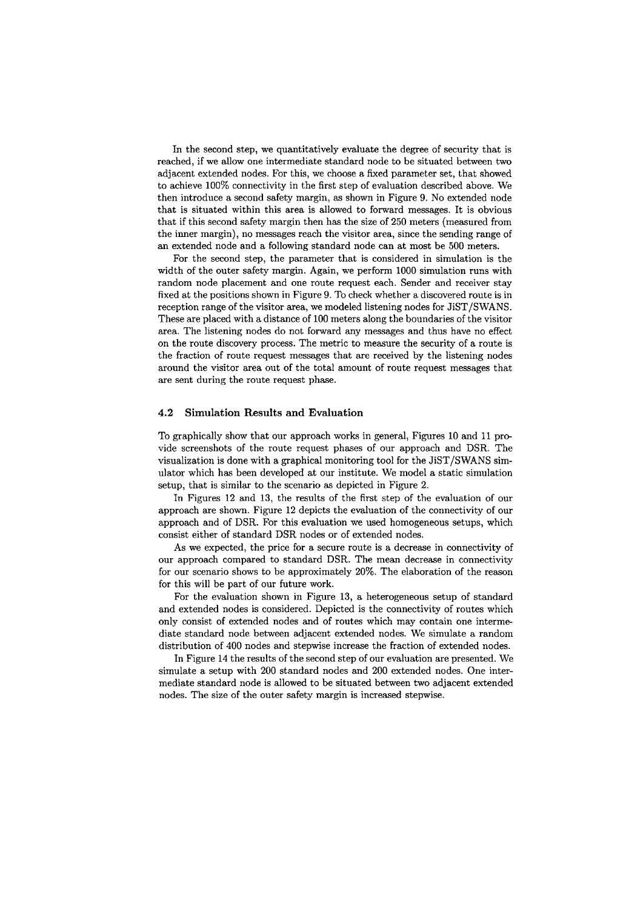In the second step, we quantitatively evaluate the degree of security that is reached, if we allow one intermediate standard node to be situated between two adjacent extended nodes. For this, we choose a fixed parameter set, that showed to achieve 100% connectivity in the first step of evaluation described above. We then introduce a second safety margin, as shown in Figure 9. No extended node that is situated within this area is allowed to forward messages. It is obvious that if this second safety margin then has the size of 250 meters (measured from the inner margin), no messages reach the visitor area, since the sending range of an extended node and a following standard node can at most be 500 meters.

For the second step, the parameter that is considered in simulation is the width of the outer safety margin. Again, we perform 1000 simulation runs with random node placement and one route request each. Sender and receiver stay fixed at the positions shown in Figure 9. To check whether a discovered route is in reception range of the visitor area, we modeled listening nodes for JiST/SWANS. These are placed with a distance of 100 meters along the boundaries of the visitor area. The listening nodes do not forward any messages and thus have no effect on the route discovery process. The metric to measure the security of a route is the fraction of route request messages that are received by the listening nodes around the visitor area out of the total amount of route request messages that are sent during the route request phase.

#### **4.2 Simulation Results and Evaluation**

To graphically show that our approach works in general, Figures 10 and 11 provide screenshots of the route request phases of our approach and DSR. The visualization is done with a graphical monitoring tool for the JiST/SWANS simulator which has been developed at our institute. We model a static simulation setup, that is similar to the scenario as depicted in Figure 2.

In Figures 12 and 13, the results of the first step of the evaluation of our approach are shown. Figure 12 depicts the evaluation of the connectivity of our approach and of DSR. For this evaluation we used homogeneous setups, which consist either of standard DSR nodes or of extended nodes.

As we expected, the price for a secure route is a decrease in connectivity of our approach compared to standard DSR. The mean decrease in connectivity for our scenario shows to be approximately 20%. The elaboration of the reason for this will be part of our future work.

For the evaluation shown in Figure 13, a heterogeneous setup of standard and extended nodes is considered. Depicted is the connectivity of routes which only consist of extended nodes and of routes which may contain one intermediate standard node between adjacent extended nodes. We simulate a random distribution of 400 nodes and stepwise increase the fraction of extended nodes.

In Figure 14 the results of the second step of our evaluation are presented. We simulate a setup with 200 standard nodes and 200 extended nodes. One intermediate standard node is allowed to be situated between two adjacent extended nodes. The size of the outer safety margin is increased stepwise.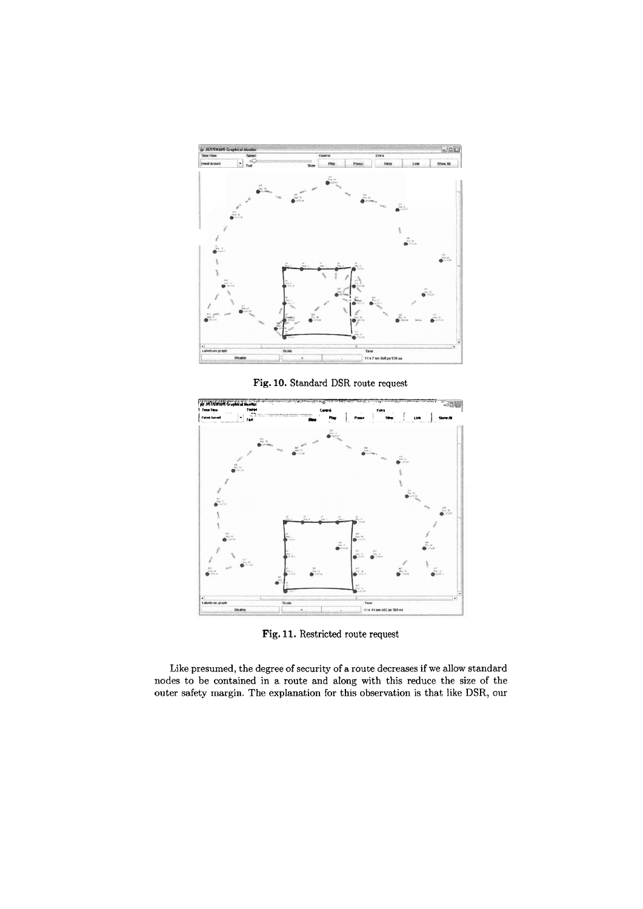



**Fig.** 11. Restricted route request

Like presumed, the degree of security of a route decreases if we allow standard nodes to be contained in a route and along with this reduce the size of the outer safety margin. The explanation for this observation is that like DSR, our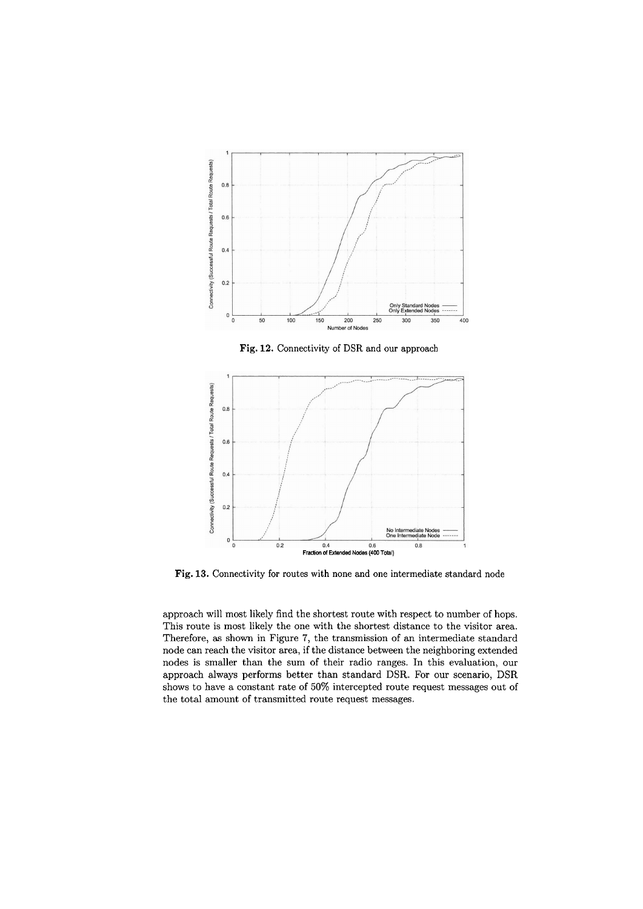

**Fig.** 12. Connectivity of DSR and our approach



**Fig.** 13. Connectivity for routes with none and one intermediate standard node

approach will most likely find the shortest route with respect to number of hops. This route is most likely the one with the shortest distance to the visitor area. Therefore, as shown in Figure 7, the transmission of an intermediate standard node can reach the visitor area, if the distance between the neighboring extended nodes is smaller than the sum of their radio ranges. In this evaluation, our approach always performs better than standard DSR. For our scenario, DSR shows to have a constant rate of 50% intercepted route request messages out of the total amount of transmitted route request messages.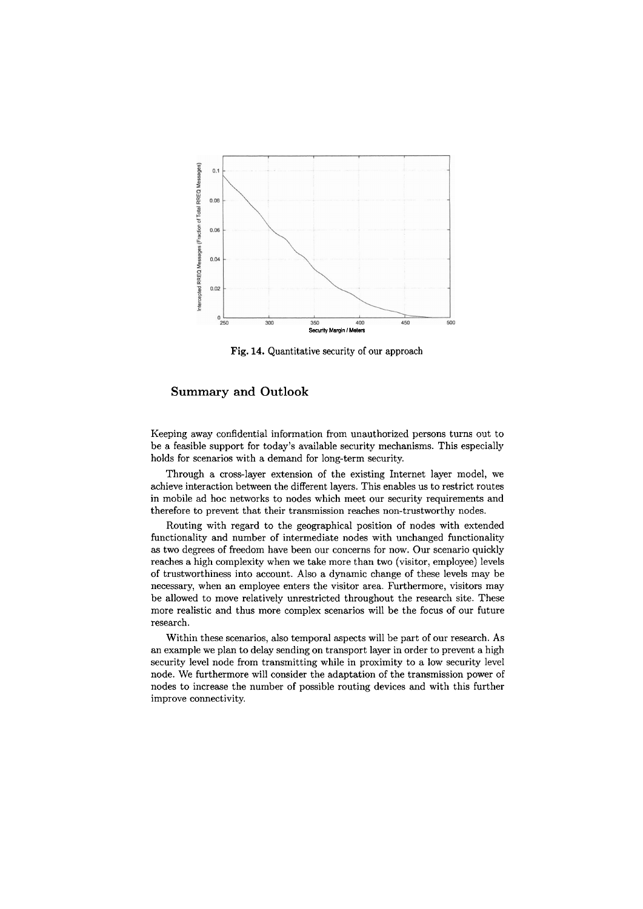

**Fig.** 14. Quantitative security of our approach

## **Summary and Outlook**

Keeping away confidential information from unauthorized persons turns out to be a feasible Support for today's available security mechanisms. This especially holds for scenarios with a demand for long-term security.

Through a cross-layer extension of the existing Internet layer model, we achieve interaction between the different layers. This enables us to restrict routes in mobile ad hoc networks to nodes which meet our security requirements and therefore to prevent that their transmission reaches non-trustworthy nodes.

Routing with regard to the geographical position of nodes with extended functionality and number of intermediate nodes with unchanged functionality as two degrees of freedom have been our concerns for now. Our scenario quickly reaches a high complexity when we take more than two (visitor, employee) levels of trustworthiness into account. Also a dynamic change of these levels may be necessary, when an employee enters the visitor area. Furthermore, visitors may be allowed to move relatively unrestricted throughout the research site. These more realistic and thus more complex scenarios will be the focus of our future research.

Within these scenarios, also temporal aspects will be part of our research. As an example we plan to delay sending on transport layer in order to prevent a high security level node from transmitting while in proximity to a low security level node. We furthermore will consider the adaptation of the transmission power of nodes to increase the number of possible routing devices and with this further improve connectivity.